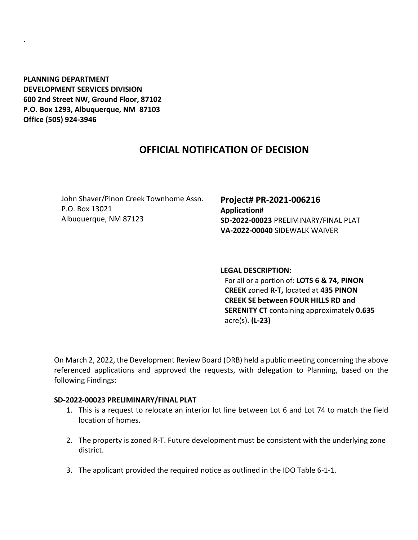**PLANNING DEPARTMENT DEVELOPMENT SERVICES DIVISION 600 2nd Street NW, Ground Floor, 87102 P.O. Box 1293, Albuquerque, NM 87103 Office (505) 924-3946** 

**.**

# **OFFICIAL NOTIFICATION OF DECISION**

John Shaver/Pinon Creek Townhome Assn. P.O. Box 13021 Albuquerque, NM 87123

# **Project# PR-2021-006216 Application# SD-2022-00023** PRELIMINARY/FINAL PLAT **VA-2022-00040** SIDEWALK WAIVER

**LEGAL DESCRIPTION:**

For all or a portion of: **LOTS 6 & 74, PINON CREEK** zoned **R-T,** located at **435 PINON CREEK SE between FOUR HILLS RD and SERENITY CT** containing approximately **0.635**  acre(s). **(L-23)**

On March 2, 2022, the Development Review Board (DRB) held a public meeting concerning the above referenced applications and approved the requests, with delegation to Planning, based on the following Findings:

#### **SD-2022-00023 PRELIMINARY/FINAL PLAT**

- 1. This is a request to relocate an interior lot line between Lot 6 and Lot 74 to match the field location of homes.
- 2. The property is zoned R-T. Future development must be consistent with the underlying zone district.
- 3. The applicant provided the required notice as outlined in the IDO Table 6-1-1.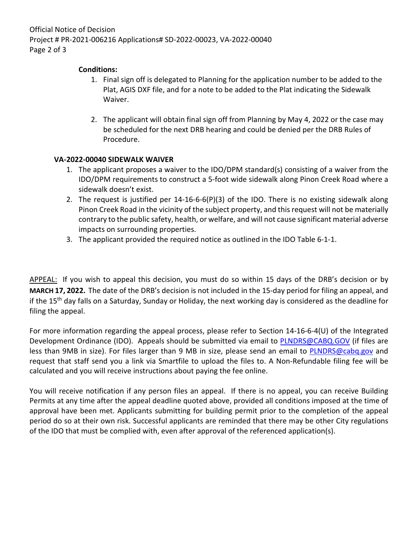Official Notice of Decision Project # PR-2021-006216 Applications# SD-2022-00023, VA-2022-00040 Page 2 of 3

## **Conditions:**

- 1. Final sign off is delegated to Planning for the application number to be added to the Plat, AGIS DXF file, and for a note to be added to the Plat indicating the Sidewalk Waiver.
- 2. The applicant will obtain final sign off from Planning by May 4, 2022 or the case may be scheduled for the next DRB hearing and could be denied per the DRB Rules of Procedure.

## **VA-2022-00040 SIDEWALK WAIVER**

- 1. The applicant proposes a waiver to the IDO/DPM standard(s) consisting of a waiver from the IDO/DPM requirements to construct a 5-foot wide sidewalk along Pinon Creek Road where a sidewalk doesn't exist.
- 2. The request is justified per 14-16-6-6(P)(3) of the IDO. There is no existing sidewalk along Pinon Creek Road in the vicinity of the subject property, and this request will not be materially contrary to the public safety, health, or welfare, and will not cause significant material adverse impacts on surrounding properties.
- 3. The applicant provided the required notice as outlined in the IDO Table 6-1-1.

APPEAL: If you wish to appeal this decision, you must do so within 15 days of the DRB's decision or by **MARCH 17, 2022.** The date of the DRB's decision is not included in the 15-day period for filing an appeal, and if the 15<sup>th</sup> day falls on a Saturday, Sunday or Holiday, the next working day is considered as the deadline for filing the appeal.

For more information regarding the appeal process, please refer to Section 14-16-6-4(U) of the Integrated Development Ordinance (IDO). Appeals should be submitted via email to [PLNDRS@CABQ.GOV](mailto:PLNDRS@CABQ.GOV) (if files are less than 9MB in size). For files larger than 9 MB in size, please send an email to **PLNDRS@cabq.gov** and request that staff send you a link via Smartfile to upload the files to. A Non-Refundable filing fee will be calculated and you will receive instructions about paying the fee online.

You will receive notification if any person files an appeal. If there is no appeal, you can receive Building Permits at any time after the appeal deadline quoted above, provided all conditions imposed at the time of approval have been met. Applicants submitting for building permit prior to the completion of the appeal period do so at their own risk. Successful applicants are reminded that there may be other City regulations of the IDO that must be complied with, even after approval of the referenced application(s).